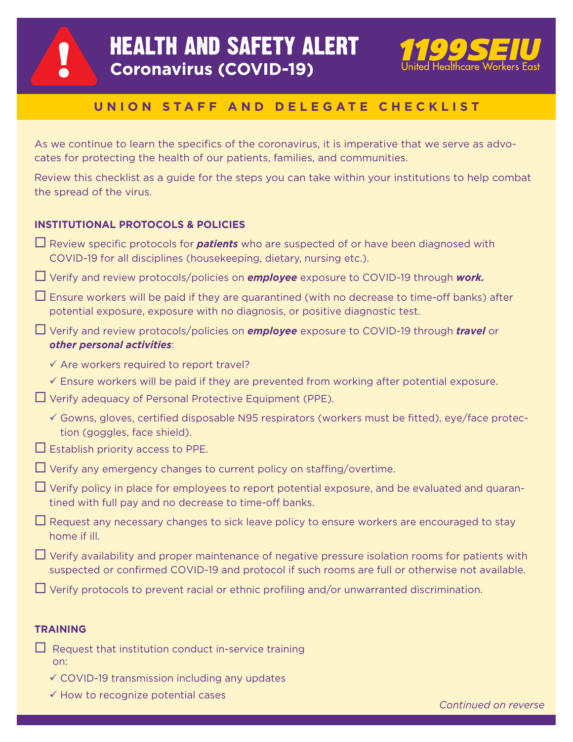

# **HEALTH AND SAFETY ALERT Coronavirus (COVID-19)**



## **UNION STAFF AND DELEGATE CHECKLIST**

As we continue to learn the specifics of the coronavirus, it is imperative that we serve as advocates for protecting the health of our patients, families, and communities.

Review this checklist as a guide for the steps you can take within your institutions to help combat the spread of the virus.

### **INSTITUTIONAL PROTOCOLS & POLICIES**

| $\Box$ Review specific protocols for <b>patients</b> who are suspected of or have been diagnosed with<br>COVID-19 for all disciplines (housekeeping, dietary, nursing etc.).                                |
|-------------------------------------------------------------------------------------------------------------------------------------------------------------------------------------------------------------|
| $\Box$ Verify and review protocols/policies on <b>employee</b> exposure to COVID-19 through work.                                                                                                           |
| $\Box$ Ensure workers will be paid if they are quarantined (with no decrease to time-off banks) after<br>potential exposure, exposure with no diagnosis, or positive diagnostic test.                       |
| $\Box$ Verify and review protocols/policies on <b>employee</b> exposure to COVID-19 through <i>travel</i> or<br>other personal activities:                                                                  |
| $\checkmark$ Are workers required to report travel?                                                                                                                                                         |
| $\checkmark$ Ensure workers will be paid if they are prevented from working after potential exposure.<br>$\Box$ Verify adequacy of Personal Protective Equipment (PPE).                                     |
| Gowns, gloves, certified disposable N95 respirators (workers must be fitted), eye/face protec-<br>tion (goggles, face shield).                                                                              |
| $\Box$ Establish priority access to PPE.                                                                                                                                                                    |
| $\Box$ Verify any emergency changes to current policy on staffing/overtime.                                                                                                                                 |
| $\Box$ Verify policy in place for employees to report potential exposure, and be evaluated and quaran-<br>tined with full pay and no decrease to time-off banks.                                            |
| $\Box$ Request any necessary changes to sick leave policy to ensure workers are encouraged to stay<br>home if ill.                                                                                          |
| $\Box$ Verify availability and proper maintenance of negative pressure isolation rooms for patients with<br>suspected or confirmed COVID-19 and protocol if such rooms are full or otherwise not available. |
| $\Box$ Verify protocols to prevent racial or ethnic profiling and/or unwarranted discrimination.                                                                                                            |
|                                                                                                                                                                                                             |

- **TRAINING**
- $\Box$  Request that institution conduct in-service training on:
	- $\checkmark$  COVID-19 transmission including any updates
	- $\checkmark$  How to recognize potential cases